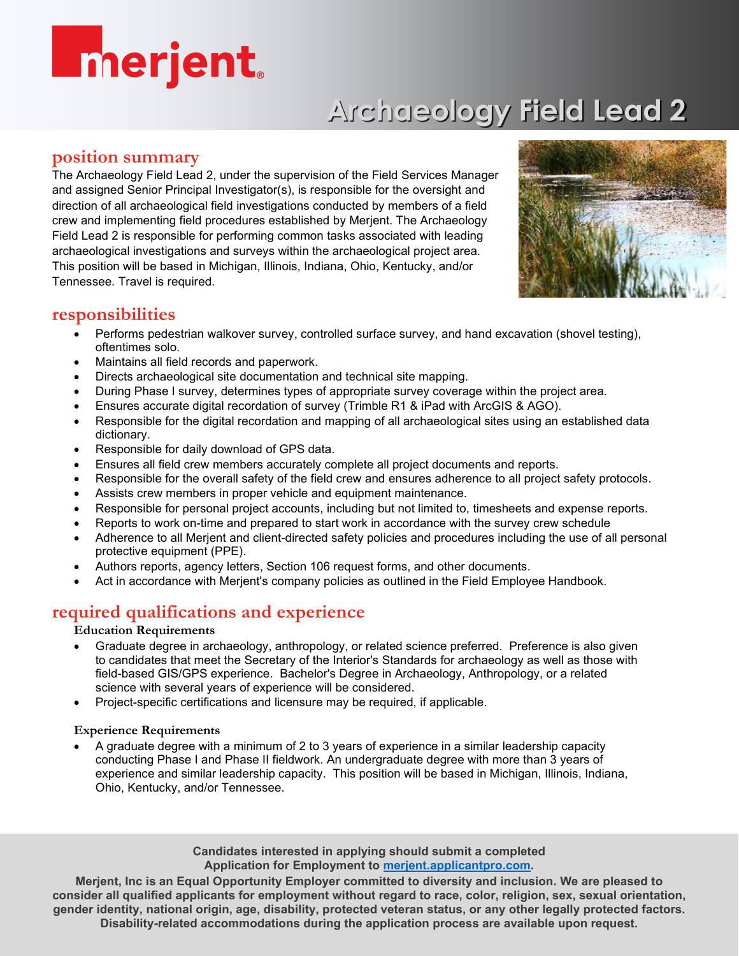# **Enerjent**

# **Archaeology Field Lead 2**

## **position summary**

The Archaeology Field Lead 2, under the supervision of the Field Services Manager and assigned Senior Principal Investigator(s), is responsible for the oversight and direction of all archaeological field investigations conducted by members of a field crew and implementing field procedures established by Merjent. The Archaeology Field Lead 2 is responsible for performing common tasks associated with leading archaeological investigations and surveys within the archaeological project area. This position will be based in Michigan, Illinois, Indiana, Ohio, Kentucky, and/or Tennessee. Travel is required.



## **responsibilities**

- Performs pedestrian walkover survey, controlled surface survey, and hand excavation (shovel testing), oftentimes solo.
- Maintains all field records and paperwork.
- Directs archaeological site documentation and technical site mapping.
- During Phase I survey, determines types of appropriate survey coverage within the project area.
- Ensures accurate digital recordation of survey (Trimble R1 & iPad with ArcGIS & AGO).
- Responsible for the digital recordation and mapping of all archaeological sites using an established data dictionary.
- Responsible for daily download of GPS data.
- Ensures all field crew members accurately complete all project documents and reports.
- Responsible for the overall safety of the field crew and ensures adherence to all project safety protocols.
- Assists crew members in proper vehicle and equipment maintenance.
- Responsible for personal project accounts, including but not limited to, timesheets and expense reports.
- Reports to work on-time and prepared to start work in accordance with the survey crew schedule
- Adherence to all Merjent and client-directed safety policies and procedures including the use of all personal protective equipment (PPE).
- Authors reports, agency letters, Section 106 request forms, and other documents.
- Act in accordance with Merjent's company policies as outlined in the Field Employee Handbook.

# **required qualifications and experience**

#### **Education Requirements**

- Graduate degree in archaeology, anthropology, or related science preferred. Preference is also given to candidates that meet the Secretary of the Interior's Standards for archaeology as well as those with field-based GIS/GPS experience. Bachelor's Degree in Archaeology, Anthropology, or a related science with several years of experience will be considered.
- Project-specific certifications and licensure may be required, if applicable.

#### **Experience Requirements**

• A graduate degree with a minimum of 2 to 3 years of experience in a similar leadership capacity conducting Phase I and Phase II fieldwork. An undergraduate degree with more than 3 years of experience and similar leadership capacity. This position will be based in Michigan, Illinois, Indiana, Ohio, Kentucky, and/or Tennessee.

> **Candidates interested in applying should submit a completed Application for Employment to [merjent.applicantpro.com.](https://merjent.applicantpro.com/)**

**Merjent, Inc is an Equal Opportunity Employer committed to diversity and inclusion. We are pleased to consider all qualified applicants for employment without regard to race, color, religion, sex, sexual orientation, gender identity, national origin, age, disability, protected veteran status, or any other legally protected factors. Disability-related accommodations during the application process are available upon request.**